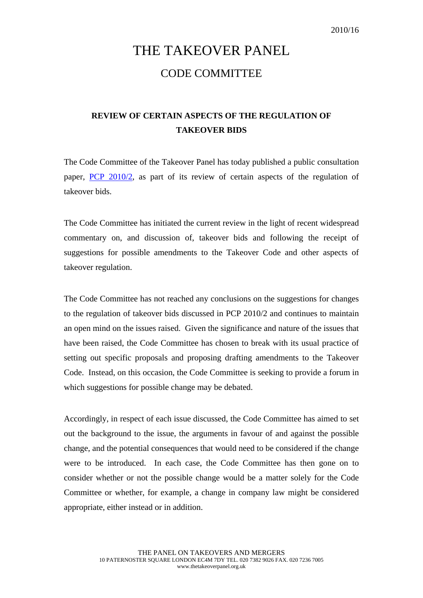## THE TAKEOVER PANEL CODE COMMITTEE

## **REVIEW OF CERTAIN ASPECTS OF THE REGULATION OF TAKEOVER BIDS**

The Code Committee of the Takeover Panel has today published a public consultation paper, [PCP 2010/2,](http://www.thetakeoverpanel.org.uk/wp-content/uploads/2008/11/PCP201002.pdf) as part of its review of certain aspects of the regulation of takeover bids.

The Code Committee has initiated the current review in the light of recent widespread commentary on, and discussion of, takeover bids and following the receipt of suggestions for possible amendments to the Takeover Code and other aspects of takeover regulation.

The Code Committee has not reached any conclusions on the suggestions for changes to the regulation of takeover bids discussed in PCP 2010/2 and continues to maintain an open mind on the issues raised. Given the significance and nature of the issues that have been raised, the Code Committee has chosen to break with its usual practice of setting out specific proposals and proposing drafting amendments to the Takeover Code. Instead, on this occasion, the Code Committee is seeking to provide a forum in which suggestions for possible change may be debated.

Accordingly, in respect of each issue discussed, the Code Committee has aimed to set out the background to the issue, the arguments in favour of and against the possible change, and the potential consequences that would need to be considered if the change were to be introduced. In each case, the Code Committee has then gone on to consider whether or not the possible change would be a matter solely for the Code Committee or whether, for example, a change in company law might be considered appropriate, either instead or in addition.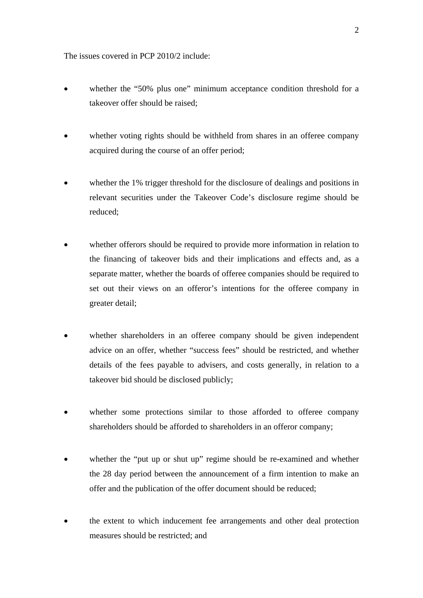The issues covered in PCP 2010/2 include:

- whether the "50% plus one" minimum acceptance condition threshold for a takeover offer should be raised;
- whether voting rights should be withheld from shares in an offeree company acquired during the course of an offer period;
- whether the 1% trigger threshold for the disclosure of dealings and positions in relevant securities under the Takeover Code's disclosure regime should be reduced;
- whether offerors should be required to provide more information in relation to the financing of takeover bids and their implications and effects and, as a separate matter, whether the boards of offeree companies should be required to set out their views on an offeror's intentions for the offeree company in greater detail;
- whether shareholders in an offeree company should be given independent advice on an offer, whether "success fees" should be restricted, and whether details of the fees payable to advisers, and costs generally, in relation to a takeover bid should be disclosed publicly;
- whether some protections similar to those afforded to offeree company shareholders should be afforded to shareholders in an offeror company;
- whether the "put up or shut up" regime should be re-examined and whether the 28 day period between the announcement of a firm intention to make an offer and the publication of the offer document should be reduced;
- the extent to which inducement fee arrangements and other deal protection measures should be restricted; and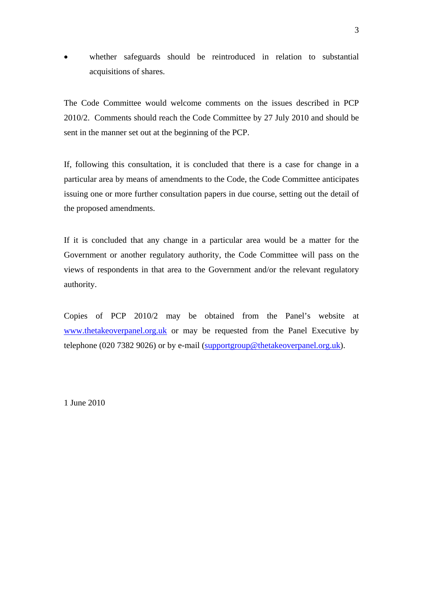whether safeguards should be reintroduced in relation to substantial acquisitions of shares.

The Code Committee would welcome comments on the issues described in PCP 2010/2. Comments should reach the Code Committee by 27 July 2010 and should be sent in the manner set out at the beginning of the PCP.

If, following this consultation, it is concluded that there is a case for change in a particular area by means of amendments to the Code, the Code Committee anticipates issuing one or more further consultation papers in due course, setting out the detail of the proposed amendments.

If it is concluded that any change in a particular area would be a matter for the Government or another regulatory authority, the Code Committee will pass on the views of respondents in that area to the Government and/or the relevant regulatory authority.

Copies of PCP 2010/2 may be obtained from the Panel's website at [www.thetakeoverpanel.org.uk](http://www.thetakeoverpanel.org.uk/) or may be requested from the Panel Executive by telephone (020 7382 9026) or by e-mail [\(supportgroup@thetakeoverpanel.org.uk](mailto:supportgroup@thetakeoverpanel.org.uk)).

1 June 2010